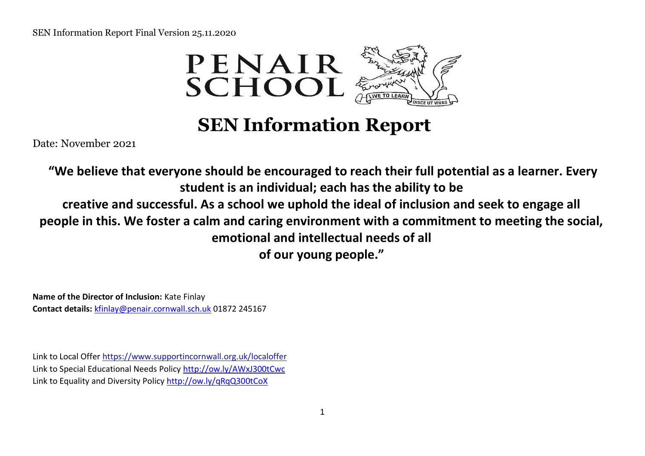

 **SEN Information Report** 

Date: November 2021

**"We believe that everyone should be encouraged to reach their full potential as a learner. Every student is an individual; each has the ability to be creative and successful. As a school we uphold the ideal of inclusion and seek to engage all people in this. We foster a calm and caring environment with a commitment to meeting the social, emotional and intellectual needs of all of our young people."**

**Name of the Director of Inclusion:** Kate Finlay **Contact details:** kfinlay@penair.cornwall.sch.uk 01872 245167

Link to Local Offer https://www.supportincornwall.[org.uk/localoffer](https://www.supportincornwall.org.uk/localoffer) Link to Special Educational Needs Policy<http://ow.ly/AWxJ300tCwc> Link to Equality and Diversity Policy<http://ow.ly/qRqQ300tCoX>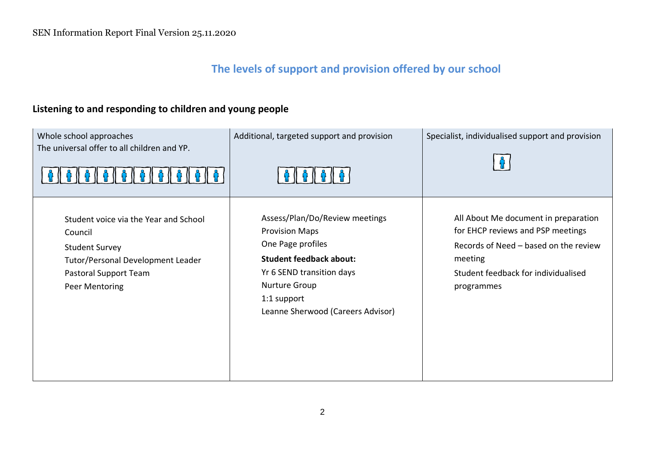# **The levels of support and provision offered by our school**

# **Listening to and responding to children and young people**

| Whole school approaches<br>The universal offer to all children and YP.                                                                                    | Additional, targeted support and provision                                                                                                                                                                       | Specialist, individualised support and provision                                                                                                                                   |
|-----------------------------------------------------------------------------------------------------------------------------------------------------------|------------------------------------------------------------------------------------------------------------------------------------------------------------------------------------------------------------------|------------------------------------------------------------------------------------------------------------------------------------------------------------------------------------|
| Student voice via the Year and School<br>Council<br><b>Student Survey</b><br>Tutor/Personal Development Leader<br>Pastoral Support Team<br>Peer Mentoring | Assess/Plan/Do/Review meetings<br><b>Provision Maps</b><br>One Page profiles<br><b>Student feedback about:</b><br>Yr 6 SEND transition days<br>Nurture Group<br>1:1 support<br>Leanne Sherwood (Careers Advisor) | All About Me document in preparation<br>for EHCP reviews and PSP meetings<br>Records of Need - based on the review<br>meeting<br>Student feedback for individualised<br>programmes |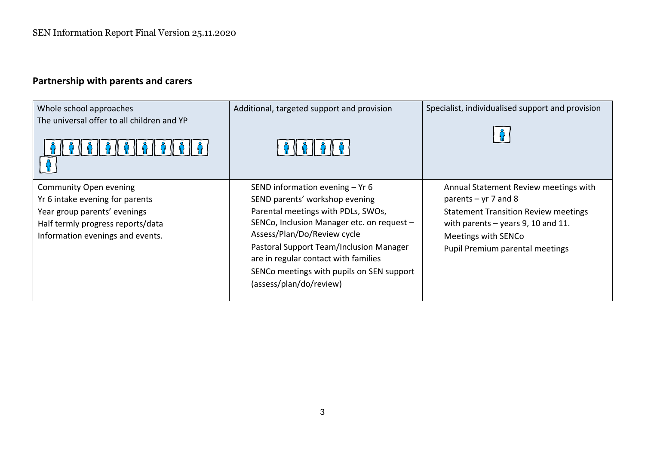# **Partnership with parents and carers**

| Whole school approaches<br>The universal offer to all children and YP                                                                                                     | Additional, targeted support and provision<br><b>A (I A (I A (I A (</b>                                                                                                                                                                                                                                                                           | Specialist, individualised support and provision                                                                                                                                                                 |
|---------------------------------------------------------------------------------------------------------------------------------------------------------------------------|---------------------------------------------------------------------------------------------------------------------------------------------------------------------------------------------------------------------------------------------------------------------------------------------------------------------------------------------------|------------------------------------------------------------------------------------------------------------------------------------------------------------------------------------------------------------------|
| <b>Community Open evening</b><br>Yr 6 intake evening for parents<br>Year group parents' evenings<br>Half termly progress reports/data<br>Information evenings and events. | SEND information evening $-$ Yr 6<br>SEND parents' workshop evening<br>Parental meetings with PDLs, SWOs,<br>SENCo, Inclusion Manager etc. on request -<br>Assess/Plan/Do/Review cycle<br>Pastoral Support Team/Inclusion Manager<br>are in regular contact with families<br>SENCo meetings with pupils on SEN support<br>(assess/plan/do/review) | Annual Statement Review meetings with<br>parents $-$ yr 7 and 8<br><b>Statement Transition Review meetings</b><br>with parents $-$ years 9, 10 and 11.<br>Meetings with SENCo<br>Pupil Premium parental meetings |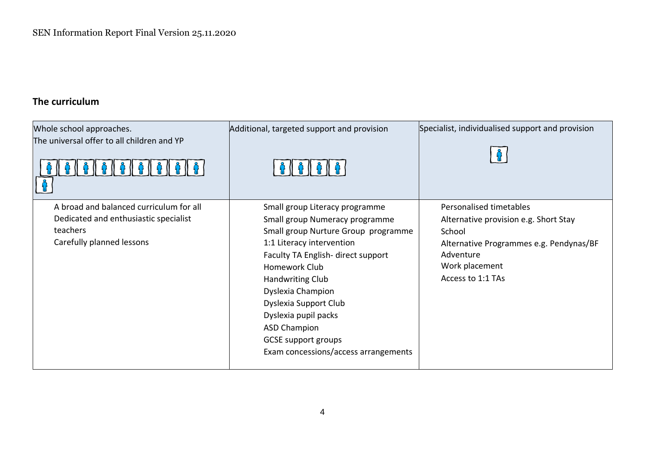# **The curriculum**

| Whole school approaches.<br>The universal offer to all children and YP                                                    | Additional, targeted support and provision                                                                                                                                                                                                                                                                                                                                        | Specialist, individualised support and provision                                                                                                                          |
|---------------------------------------------------------------------------------------------------------------------------|-----------------------------------------------------------------------------------------------------------------------------------------------------------------------------------------------------------------------------------------------------------------------------------------------------------------------------------------------------------------------------------|---------------------------------------------------------------------------------------------------------------------------------------------------------------------------|
| A broad and balanced curriculum for all<br>Dedicated and enthusiastic specialist<br>teachers<br>Carefully planned lessons | Small group Literacy programme<br>Small group Numeracy programme<br>Small group Nurture Group programme<br>1:1 Literacy intervention<br>Faculty TA English-direct support<br>Homework Club<br>Handwriting Club<br>Dyslexia Champion<br>Dyslexia Support Club<br>Dyslexia pupil packs<br><b>ASD Champion</b><br><b>GCSE support groups</b><br>Exam concessions/access arrangements | Personalised timetables<br>Alternative provision e.g. Short Stay<br>School<br>Alternative Programmes e.g. Pendynas/BF<br>Adventure<br>Work placement<br>Access to 1:1 TAs |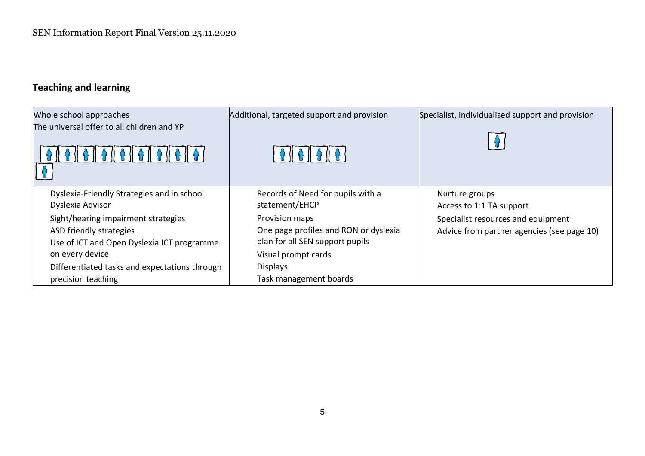# **Teaching and learning**

| Whole school approaches<br>The universal offer to all children and YP | Additional, targeted support and provision | Specialist, individualised support and provision |
|-----------------------------------------------------------------------|--------------------------------------------|--------------------------------------------------|
| Dyslexia-Friendly Strategies and in school                            | Records of Need for pupils with a          | Nurture groups                                   |
| Dyslexia Advisor                                                      | statement/EHCP                             | Access to 1:1 TA support                         |
| Sight/hearing impairment strategies                                   | Provision maps                             | Specialist resources and equipment               |
| ASD friendly strategies                                               | One page profiles and RON or dyslexia      | Advice from partner agencies (see page 10)       |
| Use of ICT and Open Dyslexia ICT programme                            | plan for all SEN support pupils            |                                                  |
| on every device                                                       | Visual prompt cards                        |                                                  |
| Differentiated tasks and expectations through                         | <b>Displays</b>                            |                                                  |
| precision teaching                                                    | Task management boards                     |                                                  |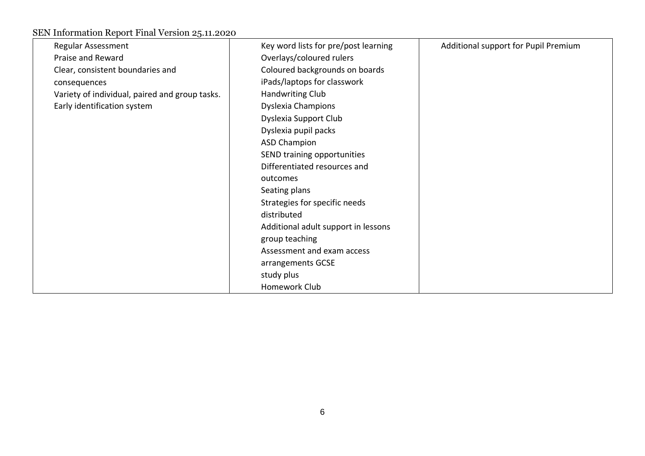| Regular Assessment                             | Key word lists for pre/post learning | Additional support for Pupil Premium |
|------------------------------------------------|--------------------------------------|--------------------------------------|
| Praise and Reward                              | Overlays/coloured rulers             |                                      |
| Clear, consistent boundaries and               | Coloured backgrounds on boards       |                                      |
| consequences                                   | iPads/laptops for classwork          |                                      |
| Variety of individual, paired and group tasks. | Handwriting Club                     |                                      |
| Early identification system                    | <b>Dyslexia Champions</b>            |                                      |
|                                                | Dyslexia Support Club                |                                      |
|                                                | Dyslexia pupil packs                 |                                      |
|                                                | <b>ASD Champion</b>                  |                                      |
|                                                | SEND training opportunities          |                                      |
|                                                | Differentiated resources and         |                                      |
|                                                | outcomes                             |                                      |
|                                                | Seating plans                        |                                      |
|                                                | Strategies for specific needs        |                                      |
|                                                | distributed                          |                                      |
|                                                | Additional adult support in lessons  |                                      |
|                                                | group teaching                       |                                      |
|                                                | Assessment and exam access           |                                      |
|                                                | arrangements GCSE                    |                                      |
|                                                | study plus                           |                                      |
|                                                | Homework Club                        |                                      |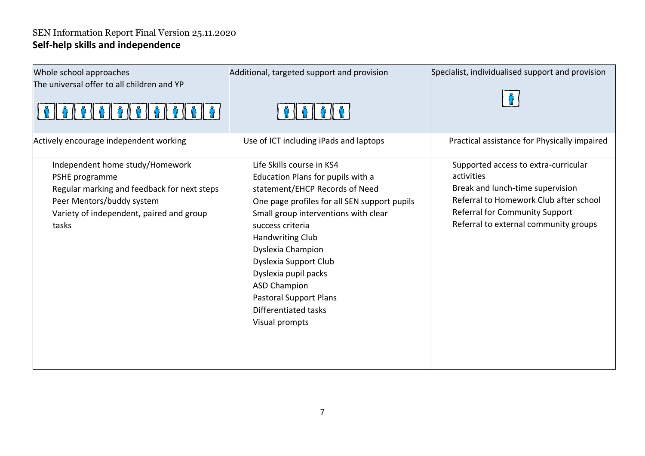## SEN Information Report Final Version 25.11.2020 **Self-help skills and independence**

| Whole school approaches<br>The universal offer to all children and YP                                                                                                              | Additional, targeted support and provision<br>61616161                                                                                                                                                                                                                                                                                                                                                          | Specialist, individualised support and provision                                                                                                                                                            |
|------------------------------------------------------------------------------------------------------------------------------------------------------------------------------------|-----------------------------------------------------------------------------------------------------------------------------------------------------------------------------------------------------------------------------------------------------------------------------------------------------------------------------------------------------------------------------------------------------------------|-------------------------------------------------------------------------------------------------------------------------------------------------------------------------------------------------------------|
| Actively encourage independent working                                                                                                                                             | Use of ICT including iPads and laptops                                                                                                                                                                                                                                                                                                                                                                          | Practical assistance for Physically impaired                                                                                                                                                                |
| Independent home study/Homework<br>PSHE programme<br>Regular marking and feedback for next steps<br>Peer Mentors/buddy system<br>Variety of independent, paired and group<br>tasks | Life Skills course in KS4<br>Education Plans for pupils with a<br>statement/EHCP Records of Need<br>One page profiles for all SEN support pupils<br>Small group interventions with clear<br>success criteria<br><b>Handwriting Club</b><br>Dyslexia Champion<br>Dyslexia Support Club<br>Dyslexia pupil packs<br><b>ASD Champion</b><br><b>Pastoral Support Plans</b><br>Differentiated tasks<br>Visual prompts | Supported access to extra-curricular<br>activities<br>Break and lunch-time supervision<br>Referral to Homework Club after school<br>Referral for Community Support<br>Referral to external community groups |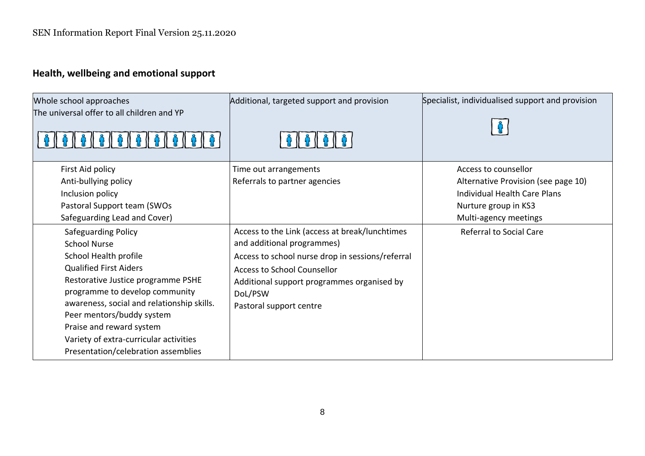# **Health, wellbeing and emotional support**

| Whole school approaches<br>The universal offer to all children and YP                                                                                                                                                                                                                                                                                                | Additional, targeted support and provision                                                                                                                                                                                                                 | Specialist, individualised support and provision                                                                     |
|----------------------------------------------------------------------------------------------------------------------------------------------------------------------------------------------------------------------------------------------------------------------------------------------------------------------------------------------------------------------|------------------------------------------------------------------------------------------------------------------------------------------------------------------------------------------------------------------------------------------------------------|----------------------------------------------------------------------------------------------------------------------|
| First Aid policy                                                                                                                                                                                                                                                                                                                                                     | Time out arrangements                                                                                                                                                                                                                                      | Access to counsellor                                                                                                 |
| Anti-bullying policy<br>Inclusion policy<br>Pastoral Support team (SWOs<br>Safeguarding Lead and Cover)                                                                                                                                                                                                                                                              | Referrals to partner agencies                                                                                                                                                                                                                              | Alternative Provision (see page 10)<br>Individual Health Care Plans<br>Nurture group in KS3<br>Multi-agency meetings |
| Safeguarding Policy<br><b>School Nurse</b><br>School Health profile<br><b>Qualified First Aiders</b><br>Restorative Justice programme PSHE<br>programme to develop community<br>awareness, social and relationship skills.<br>Peer mentors/buddy system<br>Praise and reward system<br>Variety of extra-curricular activities<br>Presentation/celebration assemblies | Access to the Link (access at break/lunchtimes<br>and additional programmes)<br>Access to school nurse drop in sessions/referral<br><b>Access to School Counsellor</b><br>Additional support programmes organised by<br>DoL/PSW<br>Pastoral support centre | <b>Referral to Social Care</b>                                                                                       |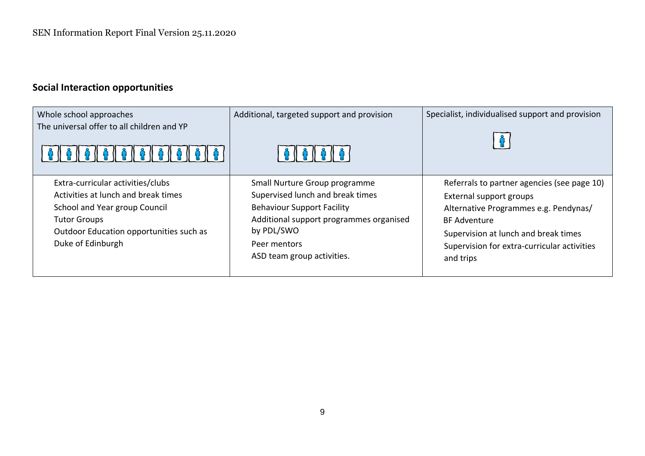# **Social Interaction opportunities**

| Whole school approaches                                                                                                                                                                          | Additional, targeted support and provision                                                                                                                                                                    | Specialist, individualised support and provision                                                                                                                                                                                           |
|--------------------------------------------------------------------------------------------------------------------------------------------------------------------------------------------------|---------------------------------------------------------------------------------------------------------------------------------------------------------------------------------------------------------------|--------------------------------------------------------------------------------------------------------------------------------------------------------------------------------------------------------------------------------------------|
| The universal offer to all children and YP<br>1010101010101010                                                                                                                                   | <b>A I A I A I A</b> I                                                                                                                                                                                        |                                                                                                                                                                                                                                            |
| Extra-curricular activities/clubs<br>Activities at lunch and break times<br>School and Year group Council<br><b>Tutor Groups</b><br>Outdoor Education opportunities such as<br>Duke of Edinburgh | Small Nurture Group programme<br>Supervised lunch and break times<br><b>Behaviour Support Facility</b><br>Additional support programmes organised<br>by PDL/SWO<br>Peer mentors<br>ASD team group activities. | Referrals to partner agencies (see page 10)<br>External support groups<br>Alternative Programmes e.g. Pendynas/<br><b>BF Adventure</b><br>Supervision at lunch and break times<br>Supervision for extra-curricular activities<br>and trips |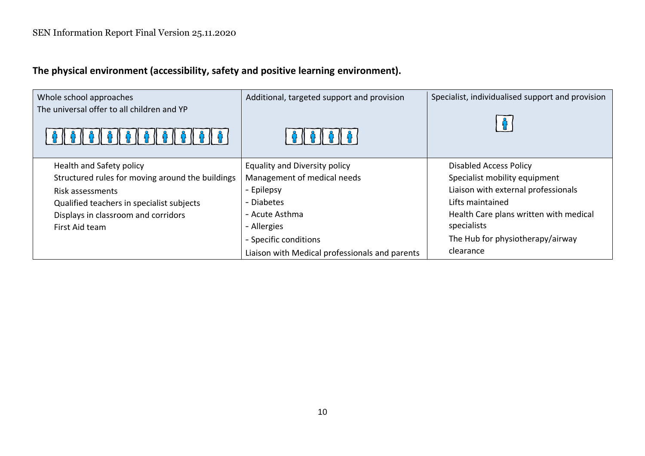**The physical environment (accessibility, safety and positive learning environment).** 

| Whole school approaches                          | Additional, targeted support and provision     | Specialist, individualised support and provision |
|--------------------------------------------------|------------------------------------------------|--------------------------------------------------|
| The universal offer to all children and YP       | 16   16   16                                   |                                                  |
| Health and Safety policy                         | <b>Equality and Diversity policy</b>           | <b>Disabled Access Policy</b>                    |
| Structured rules for moving around the buildings | Management of medical needs                    | Specialist mobility equipment                    |
| Risk assessments                                 | - Epilepsy                                     | Liaison with external professionals              |
| Qualified teachers in specialist subjects        | - Diabetes                                     | Lifts maintained                                 |
| Displays in classroom and corridors              | - Acute Asthma                                 | Health Care plans written with medical           |
| First Aid team                                   | - Allergies                                    | specialists                                      |
|                                                  | - Specific conditions                          | The Hub for physiotherapy/airway                 |
|                                                  | Liaison with Medical professionals and parents | clearance                                        |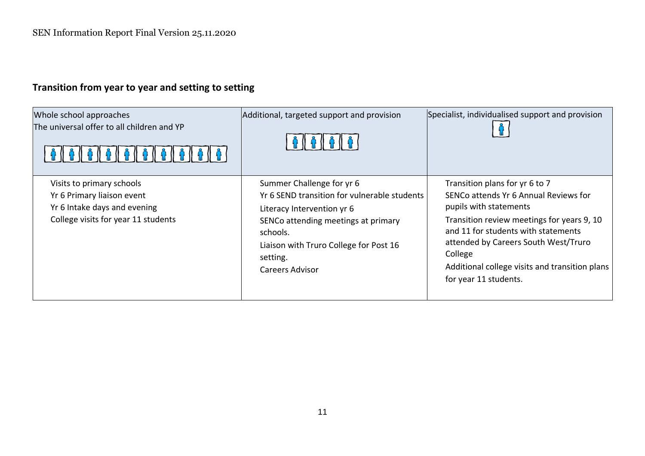# **Transition from year to year and setting to setting**

| Whole school approaches<br>The universal offer to all children and YP                                                          | Additional, targeted support and provision                                                                                                                                                                                                 | Specialist, individualised support and provision                                                                                                                                                                                                                                                                     |
|--------------------------------------------------------------------------------------------------------------------------------|--------------------------------------------------------------------------------------------------------------------------------------------------------------------------------------------------------------------------------------------|----------------------------------------------------------------------------------------------------------------------------------------------------------------------------------------------------------------------------------------------------------------------------------------------------------------------|
| Visits to primary schools<br>Yr 6 Primary liaison event<br>Yr 6 Intake days and evening<br>College visits for year 11 students | Summer Challenge for yr 6<br>Yr 6 SEND transition for vulnerable students<br>Literacy Intervention yr 6<br>SENCo attending meetings at primary<br>schools.<br>Liaison with Truro College for Post 16<br>setting.<br><b>Careers Advisor</b> | Transition plans for yr 6 to 7<br>SENCo attends Yr 6 Annual Reviews for<br>pupils with statements<br>Transition review meetings for years 9, 10<br>and 11 for students with statements<br>attended by Careers South West/Truro<br>College<br>Additional college visits and transition plans<br>for year 11 students. |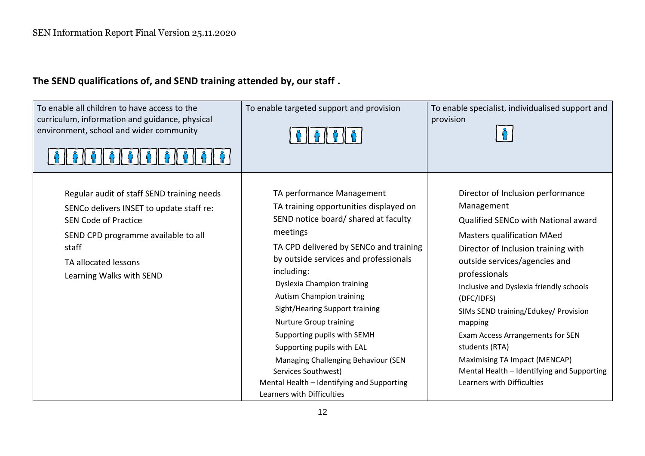# **The SEND qualifications of, and SEND training attended by, our staff .**

| To enable all children to have access to the<br>curriculum, information and guidance, physical<br>environment, school and wider community<br>   ^    ^    ^    ^    ^    ^    ^                                           | To enable targeted support and provision                                                                                                                                                                                                                                                                                                                                                                                                                                                                                                                            | To enable specialist, individualised support and<br>provision                                                                                                                                                                                                                                                                                                                                                                                                                                       |
|---------------------------------------------------------------------------------------------------------------------------------------------------------------------------------------------------------------------------|---------------------------------------------------------------------------------------------------------------------------------------------------------------------------------------------------------------------------------------------------------------------------------------------------------------------------------------------------------------------------------------------------------------------------------------------------------------------------------------------------------------------------------------------------------------------|-----------------------------------------------------------------------------------------------------------------------------------------------------------------------------------------------------------------------------------------------------------------------------------------------------------------------------------------------------------------------------------------------------------------------------------------------------------------------------------------------------|
| Regular audit of staff SEND training needs<br>SENCo delivers INSET to update staff re:<br><b>SEN Code of Practice</b><br>SEND CPD programme available to all<br>staff<br>TA allocated lessons<br>Learning Walks with SEND | TA performance Management<br>TA training opportunities displayed on<br>SEND notice board/ shared at faculty<br>meetings<br>TA CPD delivered by SENCo and training<br>by outside services and professionals<br>including:<br>Dyslexia Champion training<br><b>Autism Champion training</b><br>Sight/Hearing Support training<br><b>Nurture Group training</b><br>Supporting pupils with SEMH<br>Supporting pupils with EAL<br>Managing Challenging Behaviour (SEN<br>Services Southwest)<br>Mental Health - Identifying and Supporting<br>Learners with Difficulties | Director of Inclusion performance<br>Management<br>Qualified SENCo with National award<br><b>Masters qualification MAed</b><br>Director of Inclusion training with<br>outside services/agencies and<br>professionals<br>Inclusive and Dyslexia friendly schools<br>(DFC/IDFS)<br>SIMs SEND training/Edukey/ Provision<br>mapping<br>Exam Access Arrangements for SEN<br>students (RTA)<br>Maximising TA Impact (MENCAP)<br>Mental Health - Identifying and Supporting<br>Learners with Difficulties |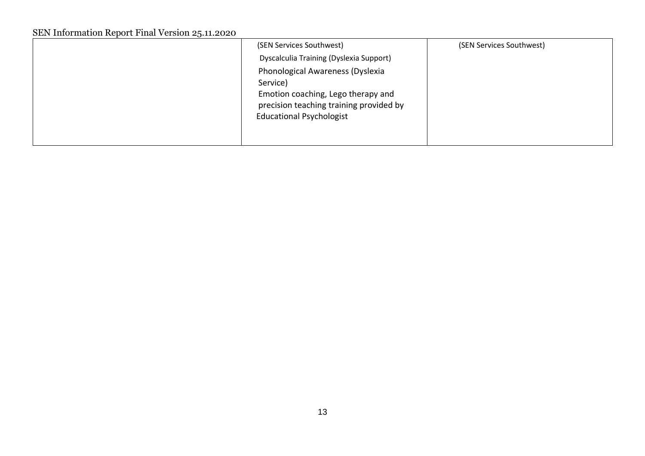| Dyscalculia Training (Dyslexia Support)                                       |  |
|-------------------------------------------------------------------------------|--|
|                                                                               |  |
| Phonological Awareness (Dyslexia<br>Service)                                  |  |
| Emotion coaching, Lego therapy and<br>precision teaching training provided by |  |
| <b>Educational Psychologist</b>                                               |  |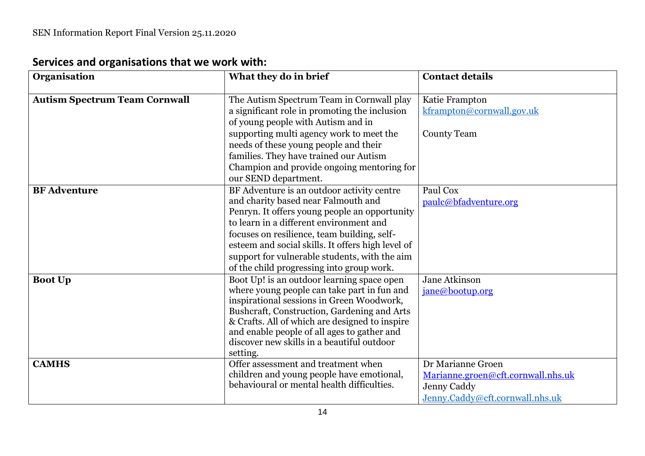| Organisation                         | What they do in brief                                                                         | <b>Contact details</b>             |
|--------------------------------------|-----------------------------------------------------------------------------------------------|------------------------------------|
|                                      |                                                                                               |                                    |
| <b>Autism Spectrum Team Cornwall</b> | The Autism Spectrum Team in Cornwall play                                                     | Katie Frampton                     |
|                                      | a significant role in promoting the inclusion                                                 | kframpton@cornwall.gov.uk          |
|                                      | of young people with Autism and in                                                            |                                    |
|                                      | supporting multi agency work to meet the                                                      | <b>County Team</b>                 |
|                                      | needs of these young people and their                                                         |                                    |
|                                      | families. They have trained our Autism<br>Champion and provide ongoing mentoring for          |                                    |
|                                      | our SEND department.                                                                          |                                    |
| <b>BF</b> Adventure                  | BF Adventure is an outdoor activity centre                                                    | Paul Cox                           |
|                                      | and charity based near Falmouth and                                                           | paulc@bfadventure.org              |
|                                      | Penryn. It offers young people an opportunity                                                 |                                    |
|                                      | to learn in a different environment and                                                       |                                    |
|                                      | focuses on resilience, team building, self-                                                   |                                    |
|                                      | esteem and social skills. It offers high level of                                             |                                    |
|                                      | support for vulnerable students, with the aim                                                 |                                    |
|                                      | of the child progressing into group work.                                                     |                                    |
| <b>Boot Up</b>                       | Boot Up! is an outdoor learning space open                                                    | Jane Atkinson                      |
|                                      | where young people can take part in fun and                                                   | jane@bootup.org                    |
|                                      | inspirational sessions in Green Woodwork,                                                     |                                    |
|                                      | Bushcraft, Construction, Gardening and Arts<br>& Crafts. All of which are designed to inspire |                                    |
|                                      | and enable people of all ages to gather and                                                   |                                    |
|                                      | discover new skills in a beautiful outdoor                                                    |                                    |
|                                      | setting.                                                                                      |                                    |
| <b>CAMHS</b>                         | Offer assessment and treatment when                                                           | Dr Marianne Groen                  |
|                                      | children and young people have emotional,                                                     | Marianne.groen@cft.cornwall.nhs.uk |
|                                      | behavioural or mental health difficulties.                                                    | Jenny Caddy                        |
|                                      |                                                                                               | Jenny.Caddy@cft.cornwall.nhs.uk    |

# **Services and organisations that we work with:**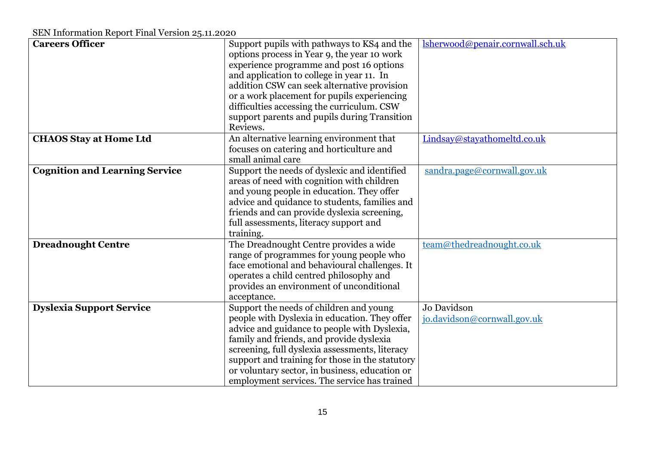| <b>Careers Officer</b><br>lsherwood@penair.cornwall.sch.uk<br>Support pupils with pathways to KS4 and the<br>options process in Year 9, the year 10 work<br>experience programme and post 16 options<br>and application to college in year 11. In<br>addition CSW can seek alternative provision |
|--------------------------------------------------------------------------------------------------------------------------------------------------------------------------------------------------------------------------------------------------------------------------------------------------|
|                                                                                                                                                                                                                                                                                                  |
|                                                                                                                                                                                                                                                                                                  |
|                                                                                                                                                                                                                                                                                                  |
|                                                                                                                                                                                                                                                                                                  |
|                                                                                                                                                                                                                                                                                                  |
| or a work placement for pupils experiencing<br>difficulties accessing the curriculum. CSW                                                                                                                                                                                                        |
| support parents and pupils during Transition                                                                                                                                                                                                                                                     |
| Reviews.                                                                                                                                                                                                                                                                                         |
| An alternative learning environment that<br><b>CHAOS Stay at Home Ltd</b><br>Lindsay@stayathomeltd.co.uk                                                                                                                                                                                         |
| focuses on catering and horticulture and                                                                                                                                                                                                                                                         |
| small animal care                                                                                                                                                                                                                                                                                |
| <b>Cognition and Learning Service</b><br>Support the needs of dyslexic and identified<br>sandra.page@cornwall.gov.uk                                                                                                                                                                             |
| areas of need with cognition with children                                                                                                                                                                                                                                                       |
| and young people in education. They offer                                                                                                                                                                                                                                                        |
| advice and quidance to students, families and                                                                                                                                                                                                                                                    |
| friends and can provide dyslexia screening,                                                                                                                                                                                                                                                      |
| full assessments, literacy support and                                                                                                                                                                                                                                                           |
| training.                                                                                                                                                                                                                                                                                        |
| The Dreadnought Centre provides a wide<br>team@thedreadnought.co.uk<br><b>Dreadnought Centre</b>                                                                                                                                                                                                 |
| range of programmes for young people who                                                                                                                                                                                                                                                         |
| face emotional and behavioural challenges. It                                                                                                                                                                                                                                                    |
| operates a child centred philosophy and                                                                                                                                                                                                                                                          |
| provides an environment of unconditional                                                                                                                                                                                                                                                         |
| acceptance.                                                                                                                                                                                                                                                                                      |
| Support the needs of children and young<br>Jo Davidson<br><b>Dyslexia Support Service</b>                                                                                                                                                                                                        |
| people with Dyslexia in education. They offer<br>jo.davidson@cornwall.gov.uk                                                                                                                                                                                                                     |
|                                                                                                                                                                                                                                                                                                  |
|                                                                                                                                                                                                                                                                                                  |
| advice and guidance to people with Dyslexia,                                                                                                                                                                                                                                                     |
| family and friends, and provide dyslexia                                                                                                                                                                                                                                                         |
| screening, full dyslexia assessments, literacy                                                                                                                                                                                                                                                   |
| support and training for those in the statutory<br>or voluntary sector, in business, education or                                                                                                                                                                                                |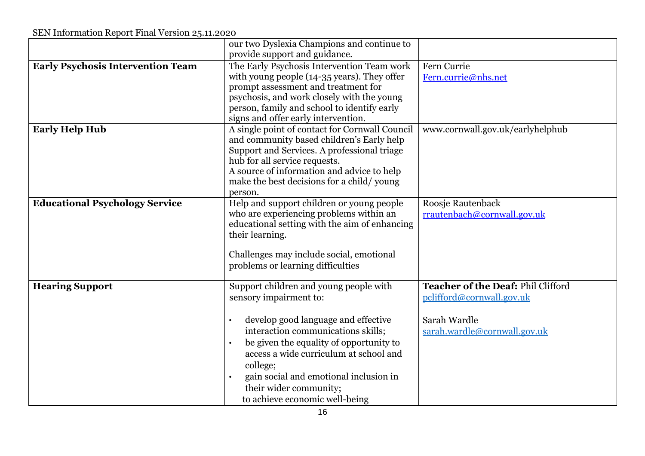|                                          | our two Dyslexia Champions and continue to<br>provide support and guidance.                                                                                                                                                                                                                                                                                       |                                                                                                                 |
|------------------------------------------|-------------------------------------------------------------------------------------------------------------------------------------------------------------------------------------------------------------------------------------------------------------------------------------------------------------------------------------------------------------------|-----------------------------------------------------------------------------------------------------------------|
| <b>Early Psychosis Intervention Team</b> | The Early Psychosis Intervention Team work<br>with young people (14-35 years). They offer<br>prompt assessment and treatment for<br>psychosis, and work closely with the young<br>person, family and school to identify early<br>signs and offer early intervention.                                                                                              | Fern Currie<br>Fern.currie@nhs.net                                                                              |
| <b>Early Help Hub</b>                    | A single point of contact for Cornwall Council<br>and community based children's Early help<br>Support and Services. A professional triage<br>hub for all service requests.<br>A source of information and advice to help<br>make the best decisions for a child/young<br>person.                                                                                 | www.cornwall.gov.uk/earlyhelphub                                                                                |
| <b>Educational Psychology Service</b>    | Help and support children or young people<br>who are experiencing problems within an<br>educational setting with the aim of enhancing<br>their learning.<br>Challenges may include social, emotional<br>problems or learning difficulties                                                                                                                         | Roosje Rautenback<br>rrautenbach@cornwall.gov.uk                                                                |
| <b>Hearing Support</b>                   | Support children and young people with<br>sensory impairment to:<br>develop good language and effective<br>interaction communications skills;<br>be given the equality of opportunity to<br>$\bullet$<br>access a wide curriculum at school and<br>college;<br>gain social and emotional inclusion in<br>their wider community;<br>to achieve economic well-being | Teacher of the Deaf: Phil Clifford<br>pclifford@cornwall.gov.uk<br>Sarah Wardle<br>sarah.wardle@cornwall.gov.uk |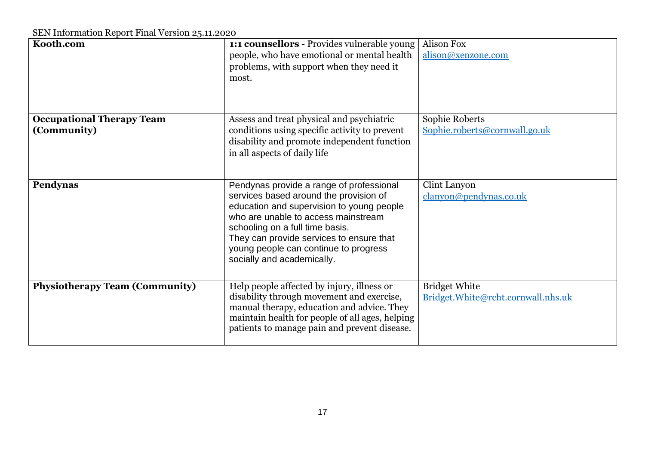| Kooth.com                                       | 1:1 counsellors - Provides vulnerable young<br>people, who have emotional or mental health<br>problems, with support when they need it<br>most.                                                                                                                                                                              | <b>Alison Fox</b><br>alison@xenzone.com                    |
|-------------------------------------------------|------------------------------------------------------------------------------------------------------------------------------------------------------------------------------------------------------------------------------------------------------------------------------------------------------------------------------|------------------------------------------------------------|
| <b>Occupational Therapy Team</b><br>(Community) | Assess and treat physical and psychiatric<br>conditions using specific activity to prevent<br>disability and promote independent function<br>in all aspects of daily life                                                                                                                                                    | Sophie Roberts<br>Sophie.roberts@cornwall.go.uk            |
| Pendynas                                        | Pendynas provide a range of professional<br>services based around the provision of<br>education and supervision to young people<br>who are unable to access mainstream<br>schooling on a full time basis.<br>They can provide services to ensure that<br>young people can continue to progress<br>socially and academically. | Clint Lanyon<br>clanyon@pendynas.co.uk                     |
| <b>Physiotherapy Team (Community)</b>           | Help people affected by injury, illness or<br>disability through movement and exercise,<br>manual therapy, education and advice. They<br>maintain health for people of all ages, helping<br>patients to manage pain and prevent disease.                                                                                     | <b>Bridget White</b><br>Bridget.White@rcht.cornwall.nhs.uk |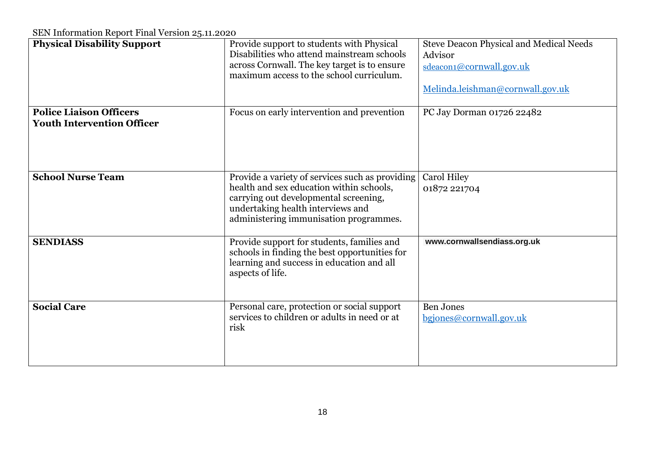| <b>Physical Disability Support</b>                                  | Provide support to students with Physical<br>Disabilities who attend mainstream schools<br>across Cornwall. The key target is to ensure<br>maximum access to the school curriculum.                                 | <b>Steve Deacon Physical and Medical Needs</b><br>Advisor<br>sdeacon1@cornwall.gov.uk<br>Melinda.leishman@cornwall.gov.uk |
|---------------------------------------------------------------------|---------------------------------------------------------------------------------------------------------------------------------------------------------------------------------------------------------------------|---------------------------------------------------------------------------------------------------------------------------|
| <b>Police Liaison Officers</b><br><b>Youth Intervention Officer</b> | Focus on early intervention and prevention                                                                                                                                                                          | PC Jay Dorman 01726 22482                                                                                                 |
| <b>School Nurse Team</b>                                            | Provide a variety of services such as providing<br>health and sex education within schools,<br>carrying out developmental screening,<br>undertaking health interviews and<br>administering immunisation programmes. | <b>Carol Hiley</b><br>01872 221704                                                                                        |
| <b>SENDIASS</b>                                                     | Provide support for students, families and<br>schools in finding the best opportunities for<br>learning and success in education and all<br>aspects of life.                                                        | www.cornwallsendiass.org.uk                                                                                               |
| <b>Social Care</b>                                                  | Personal care, protection or social support<br>services to children or adults in need or at<br>risk                                                                                                                 | <b>Ben Jones</b><br>bgjones@cornwall.gov.uk                                                                               |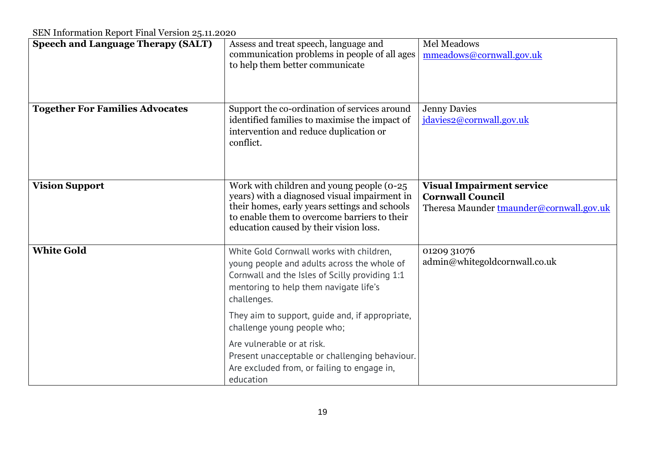| <b>Speech and Language Therapy (SALT)</b> | Assess and treat speech, language and<br>communication problems in people of all ages<br>to help them better communicate                                                                                                             | Mel Meadows<br>mmeadows@cornwall.gov.uk                                                                 |
|-------------------------------------------|--------------------------------------------------------------------------------------------------------------------------------------------------------------------------------------------------------------------------------------|---------------------------------------------------------------------------------------------------------|
| <b>Together For Families Advocates</b>    | Support the co-ordination of services around<br>identified families to maximise the impact of<br>intervention and reduce duplication or<br>conflict.                                                                                 | <b>Jenny Davies</b><br>jdavies2@cornwall.gov.uk                                                         |
| <b>Vision Support</b>                     | Work with children and young people (0-25<br>years) with a diagnosed visual impairment in<br>their homes, early years settings and schools<br>to enable them to overcome barriers to their<br>education caused by their vision loss. | <b>Visual Impairment service</b><br><b>Cornwall Council</b><br>Theresa Maunder tmaunder@cornwall.gov.uk |
| <b>White Gold</b>                         | White Gold Cornwall works with children,<br>young people and adults across the whole of<br>Cornwall and the Isles of Scilly providing 1:1<br>mentoring to help them navigate life's<br>challenges.                                   | 01209 31076<br>admin@whitegoldcornwall.co.uk                                                            |
|                                           | They aim to support, quide and, if appropriate,<br>challenge young people who;                                                                                                                                                       |                                                                                                         |
|                                           | Are vulnerable or at risk.<br>Present unacceptable or challenging behaviour.<br>Are excluded from, or failing to engage in,<br>education                                                                                             |                                                                                                         |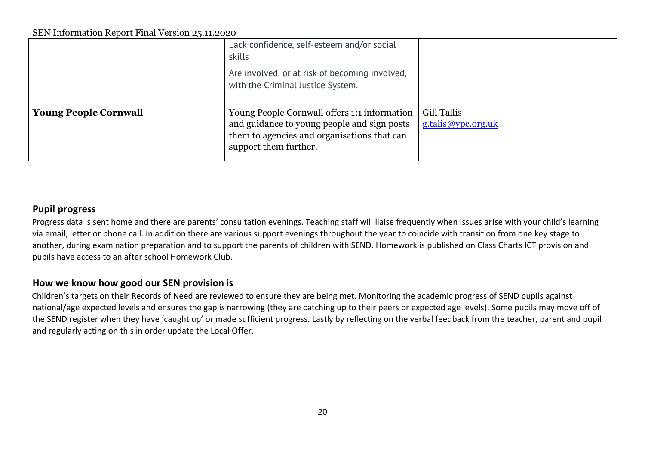|                              | Lack confidence, self-esteem and/or social<br>skills                                                                                                                |                                          |
|------------------------------|---------------------------------------------------------------------------------------------------------------------------------------------------------------------|------------------------------------------|
|                              | Are involved, or at risk of becoming involved,<br>with the Criminal Justice System.                                                                                 |                                          |
| <b>Young People Cornwall</b> | Young People Cornwall offers 1:1 information<br>and guidance to young people and sign posts<br>them to agencies and organisations that can<br>support them further. | <b>Gill Tallis</b><br>g.talis@ypc.org.uk |

## **Pupil progress**

Progress data is sent home and there are parents' consultation evenings. Teaching staff will liaise frequently when issues arise with your child's learning via email, letter or phone call. In addition there are various support evenings throughout the year to coincide with transition from one key stage to another, during examination preparation and to support the parents of children with SEND. Homework is published on Class Charts ICT provision and pupils have access to an after school Homework Club.

## **How we know how good our SEN provision is**

Children's targets on their Records of Need are reviewed to ensure they are being met. Monitoring the academic progress of SEND pupils against national/age expected levels and ensures the gap is narrowing (they are catching up to their peers or expected age levels). Some pupils may move off of the SEND register when they have 'caught up' or made sufficient progress. Lastly by reflecting on the verbal feedback from the teacher, parent and pupil and regularly acting on this in order update the Local Offer.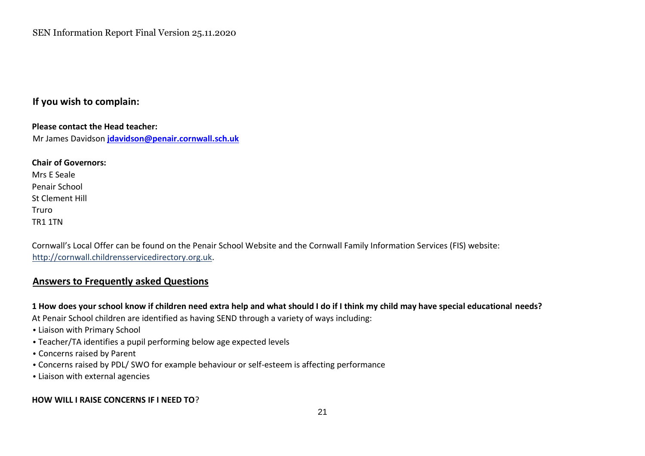## **If you wish to complain:**

**Please contact the Head teacher:**  Mr James Davidson **jdavidson@penair.cornwall.sch.uk** 

**Chair of Governors:**  Mrs E Seale Penair School St Clement Hill Truro TR1 1TN

Cornwall's Local Offer can be found on the Penair School Website and the Cornwall Family Information Services (FIS) website: [http://cornwall.childrensservicedirectory.org.uk.](http://cornwall.childrensservicedirectory.org.uk/)

### **Answers to Frequently asked Questions**

**1 How does your school know if children need extra help and what should I do if I think my child may have special educational needs?** 

At Penair School children are identified as having SEND through a variety of ways including:

- Liaison with Primary School
- Teacher/TA identifies a pupil performing below age expected levels
- Concerns raised by Parent
- Concerns raised by PDL/ SWO for example behaviour or self-esteem is affecting performance
- Liaison with external agencies

### **HOW WILL I RAISE CONCERNS IF I NEED TO**?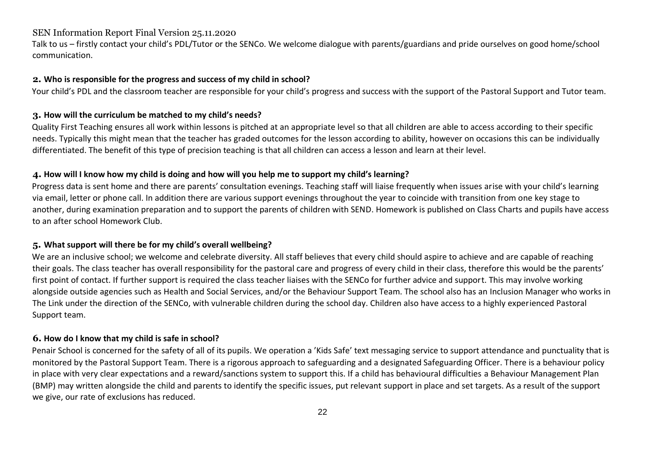Talk to us – firstly contact your child's PDL/Tutor or the SENCo. We welcome dialogue with parents/guardians and pride ourselves on good home/school communication.

#### **2. Who is responsible for the progress and success of my child in school?**

Your child's PDL and the classroom teacher are responsible for your child's progress and success with the support of the Pastoral Support and Tutor team.

### **3. How will the curriculum be matched to my child's needs?**

Quality First Teaching ensures all work within lessons is pitched at an appropriate level so that all children are able to access according to their specific needs. Typically this might mean that the teacher has graded outcomes for the lesson according to ability, however on occasions this can be individually differentiated. The benefit of this type of precision teaching is that all children can access a lesson and learn at their level.

### **4. How will I know how my child is doing and how will you help me to support my child's learning?**

Progress data is sent home and there are parents' consultation evenings. Teaching staff will liaise frequently when issues arise with your child's learning via email, letter or phone call. In addition there are various support evenings throughout the year to coincide with transition from one key stage to another, during examination preparation and to support the parents of children with SEND. Homework is published on Class Charts and pupils have access to an after school Homework Club.

### **5. What support will there be for my child's overall wellbeing?**

We are an inclusive school; we welcome and celebrate diversity. All staff believes that every child should aspire to achieve and are capable of reaching their goals. The class teacher has overall responsibility for the pastoral care and progress of every child in their class, therefore this would be the parents' first point of contact. If further support is required the class teacher liaises with the SENCo for further advice and support. This may involve working alongside outside agencies such as Health and Social Services, and/or the Behaviour Support Team. The school also has an Inclusion Manager who works in The Link under the direction of the SENCo, with vulnerable children during the school day. Children also have access to a highly experienced Pastoral Support team.

### **6. How do I know that my child is safe in school?**

Penair School is concerned for the safety of all of its pupils. We operation a 'Kids Safe' text messaging service to support attendance and punctuality that is monitored by the Pastoral Support Team. There is a rigorous approach to safeguarding and a designated Safeguarding Officer. There is a behaviour policy in place with very clear expectations and a reward/sanctions system to support this. If a child has behavioural difficulties a Behaviour Management Plan (BMP) may written alongside the child and parents to identify the specific issues, put relevant support in place and set targets. As a result of the support we give, our rate of exclusions has reduced.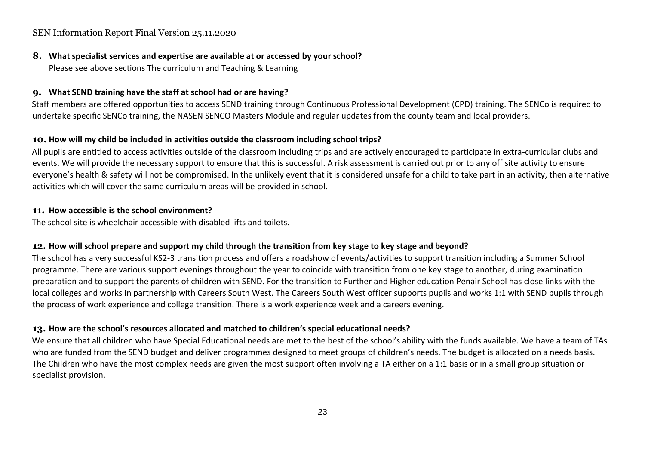**8. What specialist services and expertise are available at or accessed by your school?**  Please see above sections The curriculum and Teaching & Learning

## **9. What SEND training have the staff at school had or are having?**

Staff members are offered opportunities to access SEND training through Continuous Professional Development (CPD) training. The SENCo is required to undertake specific SENCo training, the NASEN SENCO Masters Module and regular updates from the county team and local providers.

### **10. How will my child be included in activities outside the classroom including school trips?**

All pupils are entitled to access activities outside of the classroom including trips and are actively encouraged to participate in extra-curricular clubs and events. We will provide the necessary support to ensure that this is successful. A risk assessment is carried out prior to any off site activity to ensure everyone's health & safety will not be compromised. In the unlikely event that it is considered unsafe for a child to take part in an activity, then alternative activities which will cover the same curriculum areas will be provided in school.

#### **11. How accessible is the school environment?**

The school site is wheelchair accessible with disabled lifts and toilets.

### **12. How will school prepare and support my child through the transition from key stage to key stage and beyond?**

The school has a very successful KS2-3 transition process and offers a roadshow of events/activities to support transition including a Summer School programme. There are various support evenings throughout the year to coincide with transition from one key stage to another, during examination preparation and to support the parents of children with SEND. For the transition to Further and Higher education Penair School has close links with the local colleges and works in partnership with Careers South West. The Careers South West officer supports pupils and works 1:1 with SEND pupils through the process of work experience and college transition. There is a work experience week and a careers evening.

### **13. How are the school's resources allocated and matched to children's special educational needs?**

We ensure that all children who have Special Educational needs are met to the best of the school's ability with the funds available. We have a team of TAs who are funded from the SEND budget and deliver programmes designed to meet groups of children's needs. The budget is allocated on a needs basis. The Children who have the most complex needs are given the most support often involving a TA either on a 1:1 basis or in a small group situation or specialist provision.